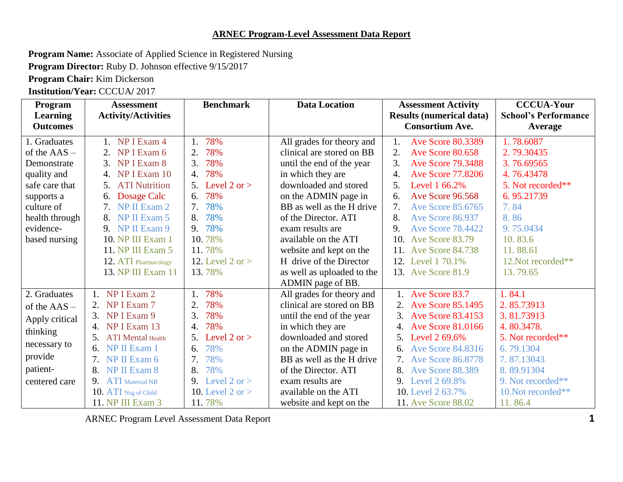## **ARNEC Program-Level Assessment Data Report**

**Program Name:** Associate of Applied Science in Registered Nursing

**Program Director:** Ruby D. Johnson effective 9/15/2017

**Program Chair:** Kim Dickerson

**Institution/Year:** CCCUA**/** 2017

| Program               | <b>Assessment</b>                          | <b>Benchmark</b>             | <b>Data Location</b>       | <b>Assessment Activity</b>                        | <b>CCCUA-Your</b>           |
|-----------------------|--------------------------------------------|------------------------------|----------------------------|---------------------------------------------------|-----------------------------|
| <b>Learning</b>       | <b>Activity/Activities</b>                 |                              |                            | <b>Results (numerical data)</b>                   | <b>School's Performance</b> |
| <b>Outcomes</b>       |                                            |                              |                            | <b>Consortium Ave.</b>                            | Average                     |
| 1. Graduates          | NP I Exam 4                                | 78%<br>1.                    | All grades for theory and  | <b>Ave Score 80.3389</b><br>1.                    | 1.78.6087                   |
| of the $\text{AAS}$ – | 2.<br>NP I Exam 6                          | 78%                          | clinical are stored on BB  | 2.<br>Ave Score 80.658                            | 2.79.30435                  |
| Demonstrate           | NP I Exam 8<br>3.                          | 78%<br>3.                    | until the end of the year  | 3.<br><b>Ave Score 79.3488</b>                    | 3.76.69565                  |
| quality and           | NP I Exam 10<br>4.                         | 78%<br>4.                    | in which they are          | <b>Ave Score 77.8206</b><br>$\mathcal{A}_{\cdot}$ | 4.76.43478                  |
| safe care that        | <b>ATI Nutrition</b><br>5.                 | 5. Level $2 \text{ or } > 5$ | downloaded and stored      | 5 <sub>1</sub><br>Level 1 66.2%                   | 5. Not recorded**           |
| supports a            | Dosage Calc<br>6.                          | 78%<br>6.                    | on the ADMIN page in       | <b>Ave Score 96.568</b><br>6.                     | 6.95.21739                  |
| culture of            | NP II Exam 2                               | 78%<br>7.                    | BB as well as the H drive  | 7.<br>Ave Score 85.6765                           | 7.84                        |
| health through        | NP II Exam 5<br>8.                         | 78%<br>8.                    | of the Director. ATI       | 8.<br>Ave Score 86.937                            | 8.86                        |
| evidence-             | 9. NP II Exam 9                            | 9. 78%                       | exam results are           | <b>Ave Score 78.4422</b><br>$\mathbf{Q}$          | 9.75.0434                   |
| based nursing         | 10. NP III Exam 1                          | 10.78%                       | available on the ATI       | 10.<br>Ave Score 83.79                            | 10.83.6                     |
|                       | 11. NP III Exam 5                          | 11.78%                       | website and kept on the    | 11. Ave Score 84.738                              | 11.88.61                    |
|                       | 12. ATI Pharmacology                       | 12. Level 2 or $>$           | H drive of the Director    | 12. Level 1 70.1%                                 | 12. Not recorded**          |
|                       | 13. NP III Exam 11                         | 13.78%                       | as well as uploaded to the | 13. Ave Score 81.9                                | 13.79.65                    |
|                       |                                            |                              | ADMIN page of BB.          |                                                   |                             |
| 2. Graduates          | 1. NP I Exam 2                             | 78%                          | All grades for theory and  | 1. Ave Score 83.7                                 | 1.84.1                      |
| of the $AAS -$        | NP I Exam 7                                | 78%<br>$\overline{2}$ .      | clinical are stored on BB  | 2. Ave Score 85.1495                              | 2.85.73913                  |
| Apply critical        | 3. NP I Exam 9                             | 78%<br>3.                    | until the end of the year  | 3. Ave Score 83.4153                              | 3.81.73913                  |
| thinking              | 4. NP I Exam 13                            | 78%<br>$\overline{4}$ .      | in which they are          | 4. Ave Score 81,0166                              | 4.80.3478.                  |
|                       | 5 <sub>1</sub><br><b>ATI</b> Mental Health | 5. Level $2 \text{ or } > 5$ | downloaded and stored      | 5. Level 2 69.6%                                  | 5. Not recorded**           |
| necessary to          | NP II Exam 1<br>6.                         | 78%<br>6.                    | on the ADMIN page in       | <b>Ave Score 84.8316</b>                          | 6.79.1304                   |
| provide               | NP II Exam 6                               | 78%<br>7.                    | BB as well as the H drive  | 7. Ave Score 86.8778                              | 7.87.13043                  |
| patient-              | NP II Exam 8<br>8.                         | 78%<br>8.                    | of the Director. ATI       | Ave Score 88.389<br>8.                            | 8.89.91304                  |
| centered care         | 9.<br><b>ATI</b> Maternal NB               | 9. Level $2 \text{ or } >$   | exam results are           | 9. Level 2 69.8%                                  | 9. Not recorded**           |
|                       | 10. ATI Nsg of Child                       | 10. Level $2$ or $>$         | available on the ATI       | 10. Level 2 63.7%                                 | 10. Not recorded**          |
|                       | 11. NP III Exam 3                          | 11.78%                       | website and kept on the    | 11. Ave Score 88.02                               | 11.86.4                     |

ARNEC Program Level Assessment Data Report 1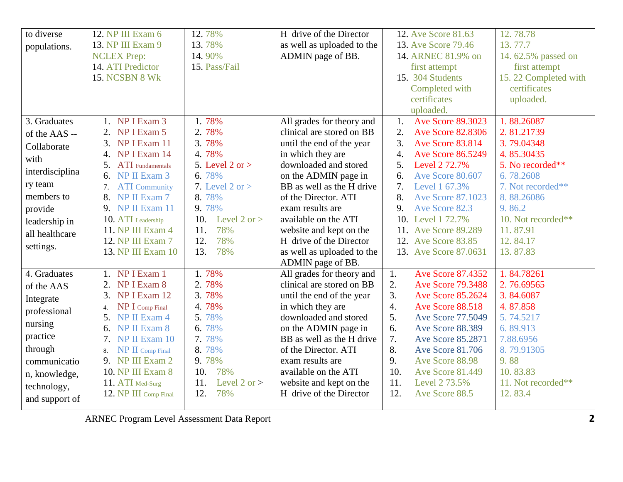| to diverse      | 12. NP III Exam 6             | 12.78%                | H drive of the Director    | 12. Ave Score 81.63                          | 12.78.78             |
|-----------------|-------------------------------|-----------------------|----------------------------|----------------------------------------------|----------------------|
| populations.    | 13. NP III Exam 9             | 13.78%                | as well as uploaded to the | 13. Ave Score 79.46                          | 13.77.7              |
|                 | <b>NCLEX Prep:</b>            | 14.90%                | ADMIN page of BB.          | 14. ARNEC 81.9% on                           | 14.62.5% passed on   |
|                 | 14. ATI Predictor             | 15. Pass/Fail         |                            | first attempt                                | first attempt        |
|                 | <b>15. NCSBN 8 Wk</b>         |                       |                            | 15. 304 Students                             | 15.22 Completed with |
|                 |                               |                       |                            | Completed with                               | certificates         |
|                 |                               |                       |                            | certificates                                 | uploaded.            |
|                 |                               |                       |                            | uploaded.                                    |                      |
| 3. Graduates    | 1. NP I Exam 3                | 1.78%                 | All grades for theory and  | Ave Score 89.3023<br>1.                      | 1.88.26087           |
| of the AAS --   | NP I Exam 5<br>2.             | 2.78%                 | clinical are stored on BB  | 2.<br><b>Ave Score 82.8306</b>               | 2.81.21739           |
| Collaborate     | NP I Exam 11<br>3.            | 3.78%                 | until the end of the year  | 3.<br>Ave Score 83.814                       | 3.79.04348           |
| with            | NP I Exam 14<br>4.            | 4.78%                 | in which they are          | $\overline{4}$ .<br><b>Ave Score 86.5249</b> | 4.85.30435           |
|                 | 5. ATI Fundamentals           | 5. Level $2$ or $>$   | downloaded and stored      | 5.<br>Level 2 72.7%                          | 5. No recorded**     |
| interdisciplina | NP II Exam 3<br>6.            | 6.78%                 | on the ADMIN page in       | Ave Score 80.607<br>6.                       | 6.78.2608            |
| ry team         | <b>ATI</b> Community<br>7.    | 7. Level $2$ or $>$   | BB as well as the H drive  | 7.<br>Level 1 67.3%                          | 7. Not recorded**    |
| members to      | 8.<br>NP II Exam 7            | 8.78%                 | of the Director. ATI       | 8.<br><b>Ave Score 87.1023</b>               | 8.88.26086           |
| provide         | 9. NP II Exam 11              | 9.78%                 | exam results are           | 9.<br>Ave Score 82.3                         | 9.86.2               |
| leadership in   | 10. ATI Leadership            | Level 2 or $>$<br>10. | available on the ATI       | 10. Level 1 72.7%                            | 10. Not recorded**   |
| all healthcare  | 11. NP III Exam 4             | 78%<br>11.            | website and kept on the    | 11. Ave Score 89.289                         | 11.87.91             |
| settings.       | 12. NP III Exam 7             | 12.<br>78%            | H drive of the Director    | 12. Ave Score 83.85                          | 12.84.17             |
|                 | 13. NP III Exam 10            | 13.<br>78%            | as well as uploaded to the | 13. Ave Score 87.0631                        | 13.87.83             |
|                 |                               |                       | ADMIN page of BB.          |                                              |                      |
| 4. Graduates    | 1. NP I Exam 1                | 1.78%                 | All grades for theory and  | <b>Ave Score 87.4352</b><br>1.               | 1.84.78261           |
| of the AAS -    | NP I Exam 8<br>2.             | 2.78%                 | clinical are stored on BB  | 2.<br><b>Ave Score 79.3488</b>               | 2.76.69565           |
| Integrate       | NP I Exam 12<br>3.            | 3.78%                 | until the end of the year  | $\overline{3}$ .<br><b>Ave Score 85.2624</b> | 3.84.6087            |
| professional    | NP I Comp Final<br>4.         | 4.78%                 | in which they are          | $\overline{4}$ .<br>Ave Score 88.518         | 4.87.858             |
|                 | NP II Exam 4<br>5.            | 5.78%                 | downloaded and stored      | 5.<br>Ave Score 77.5049                      | 5.74.5217            |
| nursing         | NP II Exam 8<br>6.            | 6.78%                 | on the ADMIN page in       | 6.<br>Ave Score 88.389                       | 6.89.913             |
| practice        | NP II Exam 10<br>7.           | 7.78%                 | BB as well as the H drive  | 7.<br>Ave Score 85.2871                      | 7.88.6956            |
| through         | $\bf NP\ II$ Comp Final<br>8. | 8.78%                 | of the Director. ATI       | 8.<br><b>Ave Score 81.706</b>                | 8.79.91305           |
| communicatio    | 9. NP III Exam 2              | 9.78%                 | exam results are           | 9.<br>Ave Score 88.98                        | 9.88                 |
| n, knowledge,   | 10. NP III Exam 8             | 10.<br>78%            | available on the ATI       | 10.<br><b>Ave Score 81.449</b>               | 10.83.83             |
| technology,     | 11. ATI Med-Surg              | Level 2 or $>$<br>11. | website and kept on the    | 11.<br>Level 2 73.5%                         | 11. Not recorded**   |
| and support of  | 12. NP III Comp Final         | 12.<br>78%            | H drive of the Director    | 12.<br>Ave Score 88.5                        | 12.83.4              |
|                 |                               |                       |                            |                                              |                      |

ARNEC Program Level Assessment Data Report **2**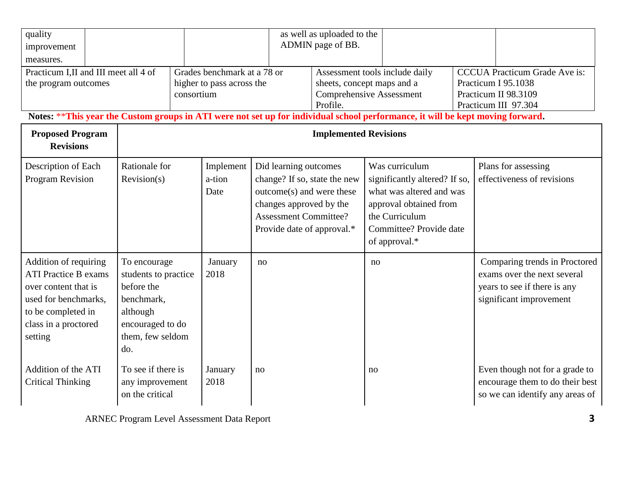| quality<br>improvement<br>measures.                                                                                                                           |                                                                                                                             |                                                                                                                                                                |                                                                                                                                                                             | as well as uploaded to the<br>ADMIN page of BB. |                                                                                                                                                                     |  |                                                                                                                         |  |
|---------------------------------------------------------------------------------------------------------------------------------------------------------------|-----------------------------------------------------------------------------------------------------------------------------|----------------------------------------------------------------------------------------------------------------------------------------------------------------|-----------------------------------------------------------------------------------------------------------------------------------------------------------------------------|-------------------------------------------------|---------------------------------------------------------------------------------------------------------------------------------------------------------------------|--|-------------------------------------------------------------------------------------------------------------------------|--|
| Practicum I,II and III meet all 4 of<br>the program outcomes                                                                                                  |                                                                                                                             | consortium                                                                                                                                                     | Grades benchmark at a 78 or<br>higher to pass across the                                                                                                                    |                                                 | Assessment tools include daily<br>sheets, concept maps and a<br><b>Comprehensive Assessment</b><br>Profile.                                                         |  | <b>CCCUA Practicum Grade Ave is:</b><br>Practicum I 95.1038<br>Practicum II 98.3109<br>Practicum III 97.304             |  |
| <b>Proposed Program</b><br><b>Revisions</b>                                                                                                                   |                                                                                                                             | Notes: **This year the Custom groups in ATI were not set up for individual school performance, it will be kept moving forward.<br><b>Implemented Revisions</b> |                                                                                                                                                                             |                                                 |                                                                                                                                                                     |  |                                                                                                                         |  |
| Description of Each<br>Program Revision                                                                                                                       | Rationale for<br>Revision(s)                                                                                                | Implement<br>a-tion<br>Date                                                                                                                                    | Did learning outcomes<br>change? If so, state the new<br>outcome(s) and were these<br>changes approved by the<br><b>Assessment Committee?</b><br>Provide date of approval.* |                                                 | Was curriculum<br>significantly altered? If so,<br>what was altered and was<br>approval obtained from<br>the Curriculum<br>Committee? Provide date<br>of approval.* |  | Plans for assessing<br>effectiveness of revisions                                                                       |  |
| Addition of requiring<br><b>ATI Practice B exams</b><br>over content that is<br>used for benchmarks,<br>to be completed in<br>class in a proctored<br>setting | To encourage<br>students to practice<br>before the<br>benchmark,<br>although<br>encouraged to do<br>them, few seldom<br>do. | January<br>2018                                                                                                                                                | no                                                                                                                                                                          |                                                 | no                                                                                                                                                                  |  | Comparing trends in Proctored<br>exams over the next several<br>years to see if there is any<br>significant improvement |  |
| Addition of the ATI<br><b>Critical Thinking</b>                                                                                                               | To see if there is<br>any improvement<br>on the critical                                                                    | January<br>2018                                                                                                                                                | no                                                                                                                                                                          |                                                 | no                                                                                                                                                                  |  | Even though not for a grade to<br>encourage them to do their best<br>so we can identify any areas of                    |  |

ARNEC Program Level Assessment Data Report **3**